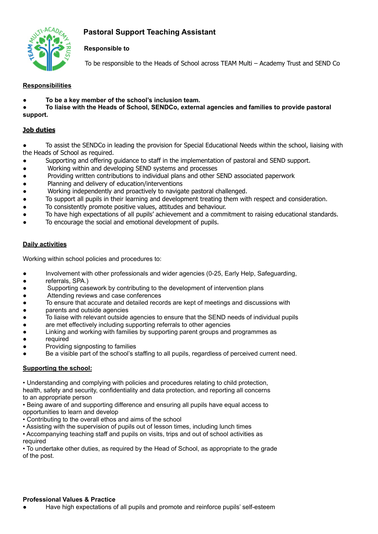# **Pastoral Support Teaching Assistant**



# **Responsible to**

To be responsible to the Heads of School across TEAM Multi – Academy Trust and SEND Co

# **Responsibilities**

**● To be a key member of the school's inclusion team.**

**● To liaise with the Heads of School, SENDCo, external agencies and families to provide pastoral support.**

# **Job duties**

To assist the SENDCo in leading the provision for Special Educational Needs within the school, liaising with the Heads of School as required.

- Supporting and offering guidance to staff in the implementation of pastoral and SEND support.
- Working within and developing SEND systems and processes
- Providing written contributions to individual plans and other SEND associated paperwork
- Planning and delivery of education/interventions
- Working independently and proactively to navigate pastoral challenged.
- To support all pupils in their learning and development treating them with respect and consideration.
- To consistently promote positive values, attitudes and behaviour.
- To have high expectations of all pupils' achievement and a commitment to raising educational standards.
- To encourage the social and emotional development of pupils.

# **Daily activities**

Working within school policies and procedures to:

- Involvement with other professionals and wider agencies (0-25, Early Help, Safeguarding,
- referrals, SPA.)
- Supporting casework by contributing to the development of intervention plans
- Attending reviews and case conferences
- To ensure that accurate and detailed records are kept of meetings and discussions with
- parents and outside agencies
- To liaise with relevant outside agencies to ensure that the SEND needs of individual pupils
- are met effectively including supporting referrals to other agencies
- Linking and working with families by supporting parent groups and programmes as
- required
- Providing signposting to families
- Be a visible part of the school's staffing to all pupils, regardless of perceived current need.

### **Supporting the school:**

• Understanding and complying with policies and procedures relating to child protection, health, safety and security, confidentiality and data protection, and reporting all concerns to an appropriate person

• Being aware of and supporting difference and ensuring all pupils have equal access to opportunities to learn and develop

• Contributing to the overall ethos and aims of the school

• Assisting with the supervision of pupils out of lesson times, including lunch times

• Accompanying teaching staff and pupils on visits, trips and out of school activities as required

• To undertake other duties, as required by the Head of School, as appropriate to the grade of the post.

### **Professional Values & Practice**

Have high expectations of all pupils and promote and reinforce pupils' self-esteem